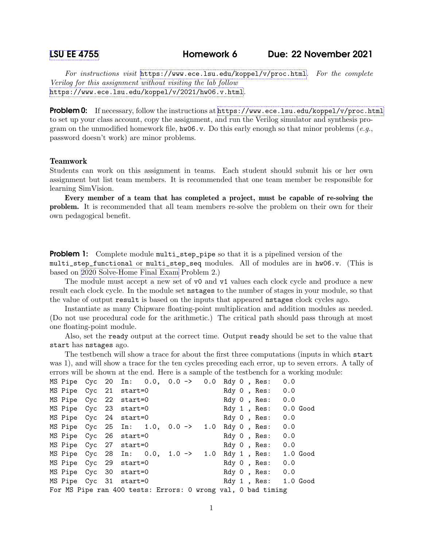For instructions visit <https://www.ece.lsu.edu/koppel/v/proc.html>. For the complete Verilog for this assignment without visiting the lab follow <https://www.ece.lsu.edu/koppel/v/2021/hw06.v.html>.

Problem 0: If necessary, follow the instructions at <https://www.ece.lsu.edu/koppel/v/proc.html> to set up your class account, copy the assignment, and run the Verilog simulator and synthesis program on the unmodified homework file,  $hw06.v$ . Do this early enough so that minor problems (e.g., password doesn't work) are minor problems.

## Teamwork

Students can work on this assignment in teams. Each student should submit his or her own assignment but list team members. It is recommended that one team member be responsible for learning SimVision.

Every member of a team that has completed a project, must be capable of re-solving the problem. It is recommended that all team members re-solve the problem on their own for their own pedagogical benefit.

**Problem 1:** Complete module multi\_step\_pipe so that it is a pipelined version of the multi\_step\_functional or multi\_step\_seq modules. All of modules are in hw06.v. (This is based on [2020 Solve-Home Final Exam](https://www.ece.lsu.edu/koppel/v/2020/fe.pdf) Problem 2.)

The module must accept a new set of  $\nabla$  and  $\nabla$  values each clock cycle and produce a new result each clock cycle. In the module set nstages to the number of stages in your module, so that the value of output result is based on the inputs that appeared nstages clock cycles ago.

Instantiate as many Chipware floating-point multiplication and addition modules as needed. (Do not use procedural code for the arithmetic.) The critical path should pass through at most one floating-point module.

Also, set the ready output at the correct time. Output ready should be set to the value that start has nstages ago.

The testbench will show a trace for about the first three computations (inputs in which start was 1), and will show a trace for the ten cycles preceding each error, up to seven errors. A tally of errors will be shown at the end. Here is a sample of the testbench for a working module:

| MS Pipe Cyc 20 In: 0.0, 0.0 -> 0.0                           |  |  |  |  |  |  |  |  |  |  | Rdy 0, Res:          | 0.0 |  |
|--------------------------------------------------------------|--|--|--|--|--|--|--|--|--|--|----------------------|-----|--|
| MS Pipe Cyc 21 start=0                                       |  |  |  |  |  |  |  |  |  |  | Rdy 0 , Res:         | 0.0 |  |
| MS Pipe Cyc 22 start=0                                       |  |  |  |  |  |  |  |  |  |  | Rdy 0, Res: 0.0      |     |  |
| MS Pipe Cyc 23 start=0                                       |  |  |  |  |  |  |  |  |  |  | Rdy 1, Res: 0.0 Good |     |  |
| MS Pipe Cyc 24 start=0                                       |  |  |  |  |  |  |  |  |  |  | Rdy 0, Res:          | 0.0 |  |
| MS Pipe Cyc 25 In: 1.0, 0.0 -> 1.0                           |  |  |  |  |  |  |  |  |  |  | Rdy 0, Res:          | 0.0 |  |
| MS Pipe Cyc 26 start=0                                       |  |  |  |  |  |  |  |  |  |  | Rdy O , Res:         | 0.0 |  |
| MS Pipe Cyc 27 start=0                                       |  |  |  |  |  |  |  |  |  |  | Rdy 0 , Res:         | 0.0 |  |
| MS Pipe Cyc 28 In: 0.0, 1.0 -> 1.0                           |  |  |  |  |  |  |  |  |  |  | Rdy 1, Res: 1.0 Good |     |  |
| MS Pipe Cyc 29 start=0                                       |  |  |  |  |  |  |  |  |  |  | Rdy 0 , Res:         | 0.0 |  |
| MS Pipe Cyc 30 start=0                                       |  |  |  |  |  |  |  |  |  |  | Rdy 0, Res: 0.0      |     |  |
| MS Pipe Cyc 31 start=0                                       |  |  |  |  |  |  |  |  |  |  | Rdy 1, Res: 1.0 Good |     |  |
| For MS Pipe ran 400 tests: Errors: 0 wrong val, 0 bad timing |  |  |  |  |  |  |  |  |  |  |                      |     |  |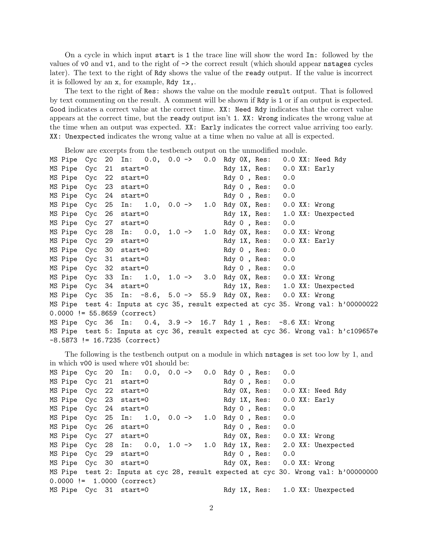On a cycle in which input start is 1 the trace line will show the word In: followed by the values of v0 and v1, and to the right of -> the correct result (which should appear nstages cycles later). The text to the right of Rdy shows the value of the ready output. If the value is incorrect it is followed by an x, for example, Rdy 1x,.

The text to the right of Res: shows the value on the module result output. That is followed by text commenting on the result. A comment will be shown if Rdy is 1 or if an output is expected. Good indicates a correct value at the correct time. XX: Need Rdy indicates that the correct value appears at the correct time, but the ready output isn't 1. XX: Wrong indicates the wrong value at the time when an output was expected. XX: Early indicates the correct value arriving too early. XX: Unexpected indicates the wrong value at a time when no value at all is expected.

Below are excerpts from the testbench output on the unmodified module.

|                                |  |  |  |  | MS Pipe Cyc 20 In: 0.0, 0.0 -> 0.0 Rdy 0X, Res: 0.0 XX: Need Rdy            |     |  |                                                                                    |  |
|--------------------------------|--|--|--|--|-----------------------------------------------------------------------------|-----|--|------------------------------------------------------------------------------------|--|
| MS Pipe Cyc 21 start=0         |  |  |  |  | Rdy 1X, Res: 0.0 XX: Early                                                  |     |  |                                                                                    |  |
| MS Pipe Cyc 22 start=0         |  |  |  |  | Rdy 0, Res: 0.0                                                             |     |  |                                                                                    |  |
| MS Pipe Cyc 23 start=0         |  |  |  |  | Rdy 0, Res: 0.0                                                             |     |  |                                                                                    |  |
| MS Pipe Cyc 24 start=0         |  |  |  |  | Rdy O , Res:                                                                | 0.0 |  |                                                                                    |  |
| MS Pipe Cyc 25                 |  |  |  |  | In: 1.0, 0.0 -> 1.0 Rdy 0X, Res: 0.0 XX: Wrong                              |     |  |                                                                                    |  |
| MS Pipe Cyc 26 start=0         |  |  |  |  | Rdy 1X, Res: 1.0 XX: Unexpected                                             |     |  |                                                                                    |  |
| MS Pipe Cyc 27 start=0         |  |  |  |  | Rdy 0, Res: 0.0                                                             |     |  |                                                                                    |  |
|                                |  |  |  |  | MS Pipe Cyc 28 In: $0.0$ , $1.0 \rightarrow 1.0$ Rdy 0X, Res: 0.0 XX: Wrong |     |  |                                                                                    |  |
| MS Pipe Cyc 29 start=0         |  |  |  |  | Rdy 1X, Res: 0.0 XX: Early                                                  |     |  |                                                                                    |  |
| MS Pipe Cyc 30 start=0         |  |  |  |  | Rdy O , Res:                                                                | 0.0 |  |                                                                                    |  |
| MS Pipe Cyc 31 start=0         |  |  |  |  | Rdy 0, Res: 0.0                                                             |     |  |                                                                                    |  |
| MS Pipe Cyc 32 start=0         |  |  |  |  | Rdy 0, Res: 0.0                                                             |     |  |                                                                                    |  |
|                                |  |  |  |  | MS Pipe Cyc 33 In: 1.0, 1.0 -> 3.0 Rdy 0X, Res: 0.0 XX: Wrong               |     |  |                                                                                    |  |
| MS Pipe Cyc 34 start=0         |  |  |  |  | Rdy 1X, Res: 1.0 XX: Unexpected                                             |     |  |                                                                                    |  |
|                                |  |  |  |  | MS Pipe Cyc 35 In: -8.6, 5.0 -> 55.9 Rdy OX, Res: 0.0 XX: Wrong             |     |  |                                                                                    |  |
|                                |  |  |  |  |                                                                             |     |  | MS Pipe test 4: Inputs at cyc 35, result expected at cyc 35. Wrong val: h'00000022 |  |
| $0.0000$ != 55.8659 (correct)  |  |  |  |  |                                                                             |     |  |                                                                                    |  |
|                                |  |  |  |  | MS Pipe Cyc 36 In: 0.4, 3.9 -> 16.7 Rdy 1, Res: -8.6 XX: Wrong              |     |  |                                                                                    |  |
|                                |  |  |  |  |                                                                             |     |  | MS Pipe test 5: Inputs at cyc 36, result expected at cyc 36. Wrong val: h'c109657e |  |
| $-8.5873$ != 16.7235 (correct) |  |  |  |  |                                                                             |     |  |                                                                                    |  |

The following is the testbench output on a module in which nstages is set too low by 1, and in which v00 is used where v01 should be:

| MS Pipe Cyc 20 In: 0.0, 0.0 -> 0.0 |  |  |  |  | Rdy 0, Res:                | 0.0 |                                                                                    |
|------------------------------------|--|--|--|--|----------------------------|-----|------------------------------------------------------------------------------------|
| MS Pipe Cyc 21 start=0             |  |  |  |  | Rdy 0, Res: 0.0            |     |                                                                                    |
| MS Pipe Cyc 22 start=0             |  |  |  |  |                            |     | Rdy OX, Res: 0.0 XX: Need Rdy                                                      |
| MS Pipe Cyc 23 start=0             |  |  |  |  | Rdy 1X, Res: 0.0 XX: Early |     |                                                                                    |
| MS Pipe Cyc 24 start=0             |  |  |  |  | Rdy 0, Res:                | 0.0 |                                                                                    |
| MS Pipe Cyc 25 In: 1.0, 0.0 -> 1.0 |  |  |  |  | Rdy O , Res:               | 0.0 |                                                                                    |
| MS Pipe Cyc 26 start=0             |  |  |  |  | Rdy 0, Res: 0.0            |     |                                                                                    |
| MS Pipe Cyc 27 start=0             |  |  |  |  | Rdy OX, Res: 0.0 XX: Wrong |     |                                                                                    |
|                                    |  |  |  |  |                            |     | MS Pipe Cyc 28 In: $0.0$ , $1.0 \rightarrow 1.0$ Rdy 1X, Res: 2.0 XX: Unexpected   |
| MS Pipe Cyc 29 start=0             |  |  |  |  | Rdy 0, Res: 0.0            |     |                                                                                    |
| MS Pipe Cyc 30 start=0             |  |  |  |  | Rdy OX, Res: 0.0 XX: Wrong |     |                                                                                    |
|                                    |  |  |  |  |                            |     | MS Pipe test 2: Inputs at cyc 28, result expected at cyc 30. Wrong val: h'00000000 |
| $0.0000$ != 1.0000 (correct)       |  |  |  |  |                            |     |                                                                                    |
| MS Pipe Cyc 31 start=0             |  |  |  |  |                            |     | Rdy 1X, Res: 1.0 XX: Unexpected                                                    |